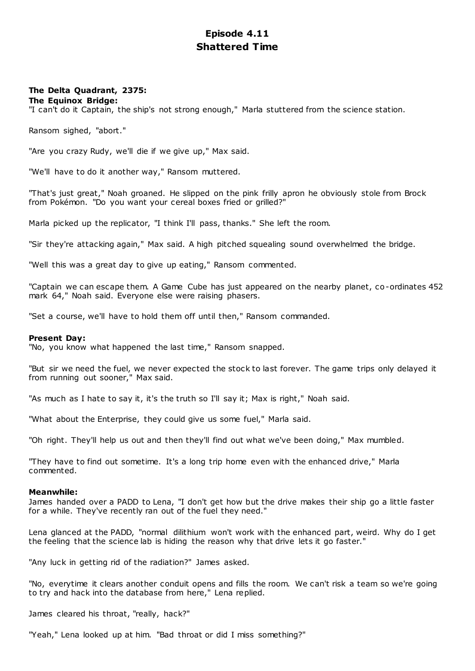# **Episode 4.11 Shattered Time**

# **The Delta Quadrant, 2375:**

**The Equinox Bridge:**

"I can't do it Captain, the ship's not strong enough," Marla stuttered from the science station.

Ransom sighed, "abort."

"Are you crazy Rudy, we'll die if we give up," Max said.

"We'll have to do it another way," Ransom muttered.

"That's just great," Noah groaned. He slipped on the pink frilly apron he obviously stole from Brock from Pokémon. "Do you want your cereal boxes fried or grilled?"

Marla picked up the replicator, "I think I'll pass, thanks." She left the room.

"Sir they're attacking again," Max said. A high pitched squealing sound overwhelmed the bridge.

"Well this was a great day to give up eating," Ransom commented.

"Captain we can escape them. A Game Cube has just appeared on the nearby planet, co-ordinates 452 mark 64," Noah said. Everyone else were raising phasers.

"Set a course, we'll have to hold them off until then," Ransom commanded.

#### **Present Day:**

"No, you know what happened the last time," Ransom snapped.

"But sir we need the fuel, we never expected the stock to last forever. The game trips only delayed it from running out sooner," Max said.

"As much as I hate to say it, it's the truth so I'll say it; Max is right," Noah said.

"What about the Enterprise, they could give us some fuel," Marla said.

"Oh right. They'll help us out and then they'll find out what we've been doing," Max mumbled.

"They have to find out sometime. It's a long trip home even with the enhanced drive," Marla commented.

### **Meanwhile:**

James handed over a PADD to Lena, "I don't get how but the drive makes their ship go a little faster for a while. They've recently ran out of the fuel they need."

Lena glanced at the PADD, "normal dilithium won't work with the enhanced part, weird. Why do I get the feeling that the science lab is hiding the reason why that drive lets it go faster."

"Any luck in getting rid of the radiation?" James asked.

"No, everytime it clears another conduit opens and fills the room. We can't risk a team so we're going to try and hack into the database from here," Lena replied.

James cleared his throat, "really, hack?"

"Yeah," Lena looked up at him. "Bad throat or did I miss something?"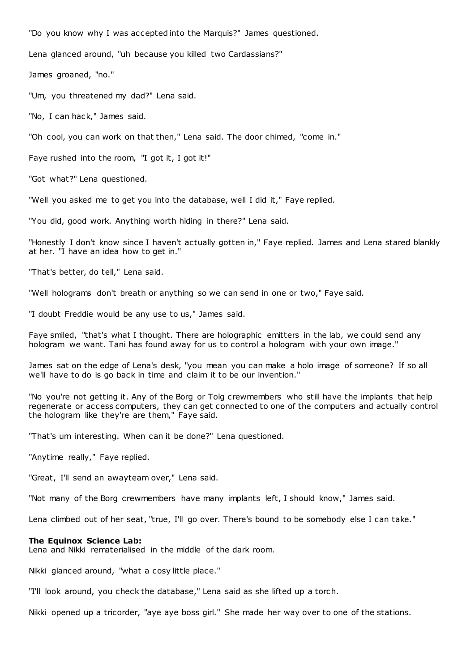"Do you know why I was accepted into the Marquis?" James questioned.

Lena glanced around, "uh because you killed two Cardassians?"

James groaned, "no."

"Um, you threatened my dad?" Lena said.

"No, I can hack," James said.

"Oh cool, you can work on that then," Lena said. The door chimed, "come in."

Faye rushed into the room, "I got it, I got it!"

"Got what?" Lena questioned.

"Well you asked me to get you into the database, well I did it," Faye replied.

"You did, good work. Anything worth hiding in there?" Lena said.

"Honestly I don't know since I haven't actually gotten in," Faye replied. James and Lena stared blankly at her. "I have an idea how to get in."

"That's better, do tell," Lena said.

"Well holograms don't breath or anything so we can send in one or two," Faye said.

"I doubt Freddie would be any use to us," James said.

Faye smiled, "that's what I thought. There are holographic emitters in the lab, we could send any hologram we want. Tani has found away for us to control a hologram with your own image."

James sat on the edge of Lena's desk, "you mean you can make a holo image of someone? If so all we'll have to do is go back in time and claim it to be our invention."

"No you're not getting it. Any of the Borg or Tolg crewmembers who still have the implants that help regenerate or access computers, they can get connected to one of the computers and actually control the hologram like they're are them," Faye said.

"That's um interesting. When can it be done?" Lena questioned.

"Anytime really," Faye replied.

"Great, I'll send an awayteam over," Lena said.

"Not many of the Borg crewmembers have many implants left, I should know," James said.

Lena climbed out of her seat, "true, I'll go over. There's bound to be somebody else I can take."

#### **The Equinox Science Lab:**

Lena and Nikki rematerialised in the middle of the dark room.

Nikki glanced around, "what a cosy little place."

"I'll look around, you check the database," Lena said as she lifted up a torch.

Nikki opened up a tricorder, "aye aye boss girl." She made her way over to one of the stations.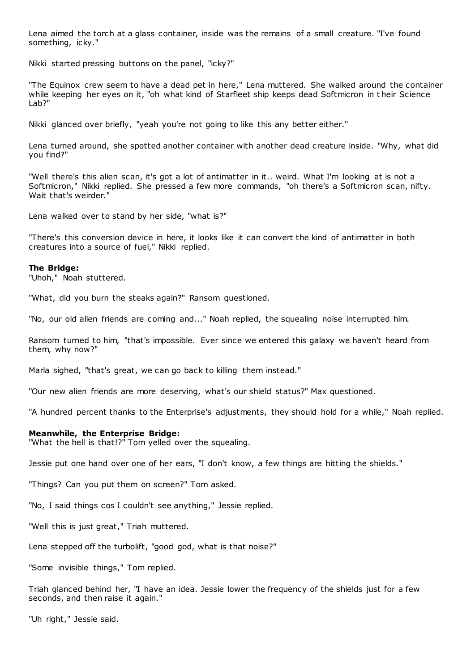Lena aimed the torch at a glass container, inside was the remains of a small creature. "I've found something, icky."

Nikki started pressing buttons on the panel, "icky?"

"The Equinox crew seem to have a dead pet in here," Lena muttered. She walked around the container while keeping her eyes on it, "oh what kind of Starfleet ship keeps dead Softmicron in t heir Science Lab?"

Nikki glanced over briefly, "yeah you're not going to like this any better either."

Lena turned around, she spotted another container with another dead creature inside. "Why, what did you find?"

"Well there's this alien scan, it's got a lot of antimatter in it.. weird. What I'm looking at is not a Softmicron," Nikki replied. She pressed a few more commands, "oh there's a Softmicron scan, nifty. Wait that's weirder."

Lena walked over to stand by her side, "what is?"

"There's this conversion device in here, it looks like it can convert the kind of antimatter in both creatures into a source of fuel," Nikki replied.

### **The Bridge:**

"Uhoh," Noah stuttered.

"What, did you burn the steaks again?" Ransom questioned.

"No, our old alien friends are coming and..." Noah replied, the squealing noise interrupted him.

Ransom turned to him, "that's impossible. Ever since we entered this galaxy we haven't heard from them, why now?"

Marla sighed, "that's great, we can go back to killing them instead."

"Our new alien friends are more deserving, what's our shield status?" Max questioned.

"A hundred percent thanks to the Enterprise's adjustments, they should hold for a while," Noah replied.

## **Meanwhile, the Enterprise Bridge:**

"What the hell is that!?" Tom yelled over the squealing.

Jessie put one hand over one of her ears, "I don't know, a few things are hitting the shields."

"Things? Can you put them on screen?" Tom asked.

"No, I said things cos I couldn't see anything," Jessie replied.

"Well this is just great," Triah muttered.

Lena stepped off the turbolift, "good god, what is that noise?"

"Some invisible things," Tom replied.

Triah glanced behind her, "I have an idea. Jessie lower the frequency of the shields just for a few seconds, and then raise it again."

"Uh right," Jessie said.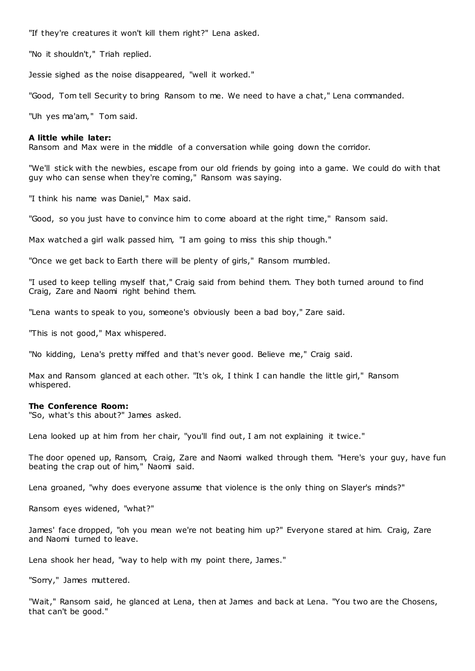"If they're creatures it won't kill them right?" Lena asked.

"No it shouldn't," Triah replied.

Jessie sighed as the noise disappeared, "well it worked."

"Good, Tom tell Security to bring Ransom to me. We need to have a chat," Lena commanded.

"Uh yes ma'am," Tom said.

## **A little while later:**

Ransom and Max were in the middle of a conversation while going down the corridor.

"We'll stick with the newbies, escape from our old friends by going into a game. We could do with that guy who can sense when they're coming," Ransom was saying.

"I think his name was Daniel," Max said.

"Good, so you just have to convince him to come aboard at the right time," Ransom said.

Max watched a girl walk passed him, "I am going to miss this ship though."

"Once we get back to Earth there will be plenty of girls," Ransom mumbled.

"I used to keep telling myself that," Craig said from behind them. They both turned around to find Craig, Zare and Naomi right behind them.

"Lena wants to speak to you, someone's obviously been a bad boy," Zare said.

"This is not good," Max whispered.

"No kidding, Lena's pretty miffed and that's never good. Believe me," Craig said.

Max and Ransom glanced at each other. "It's ok, I think I can handle the little girl," Ransom whispered.

#### **The Conference Room:**

"So, what's this about?" James asked.

Lena looked up at him from her chair, "you'll find out, I am not explaining it twice."

The door opened up, Ransom, Craig, Zare and Naomi walked through them. "Here's your guy, have fun beating the crap out of him," Naomi said.

Lena groaned, "why does everyone assume that violence is the only thing on Slayer's minds?"

Ransom eyes widened, "what?"

James' face dropped, "oh you mean we're not beating him up?" Everyone stared at him. Craig, Zare and Naomi turned to leave.

Lena shook her head, "way to help with my point there, James."

"Sorry," James muttered.

"Wait," Ransom said, he glanced at Lena, then at James and back at Lena. "You two are the Chosens, that can't be good."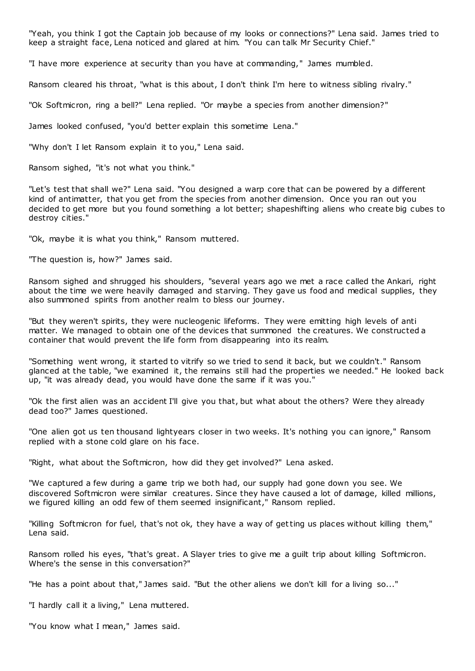"Yeah, you think I got the Captain job because of my looks or connections?" Lena said. James tried to keep a straight face, Lena noticed and glared at him. "You can talk Mr Security Chief."

"I have more experience at security than you have at commanding," James mumbled.

Ransom cleared his throat, "what is this about, I don't think I'm here to witness sibling rivalry."

"Ok Softmicron, ring a bell?" Lena replied. "Or maybe a species from another dimension?"

James looked confused, "you'd better explain this sometime Lena."

"Why don't I let Ransom explain it to you," Lena said.

Ransom sighed, "it's not what you think."

"Let's test that shall we?" Lena said. "You designed a warp core that can be powered by a different kind of antimatter, that you get from the species from another dimension. Once you ran out you decided to get more but you found something a lot better; shapeshifting aliens who create big cubes to destroy cities."

"Ok, maybe it is what you think," Ransom muttered.

"The question is, how?" James said.

Ransom sighed and shrugged his shoulders, "several years ago we met a race called the Ankari, right about the time we were heavily damaged and starving. They gave us food and medical supplies, they also summoned spirits from another realm to bless our journey.

"But they weren't spirits, they were nucleogenic lifeforms. They were emitting high levels of anti matter. We managed to obtain one of the devices that summoned the creatures. We constructed a container that would prevent the life form from disappearing into its realm.

"Something went wrong, it started to vitrify so we tried to send it back, but we couldn't." Ransom glanced at the table, "we examined it, the remains still had the properties we needed." He looked back up, "it was already dead, you would have done the same if it was you."

"Ok the first alien was an accident I'll give you that, but what about the others? Were they already dead too?" James questioned.

"One alien got us ten thousand lightyears c loser in two weeks. It's nothing you can ignore," Ransom replied with a stone cold glare on his face.

"Right, what about the Softmicron, how did they get involved?" Lena asked.

"We captured a few during a game trip we both had, our supply had gone down you see. We discovered Softmicron were similar creatures. Since they have caused a lot of damage, killed millions, we figured killing an odd few of them seemed insignificant," Ransom replied.

"Killing Softmicron for fuel, that's not ok, they have a way of getting us places without killing them," Lena said.

Ransom rolled his eyes, "that's great. A Slayer tries to give me a guilt trip about killing Softmicron. Where's the sense in this conversation?"

"He has a point about that," James said. "But the other aliens we don't kill for a living so..."

"I hardly call it a living," Lena muttered.

"You know what I mean," James said.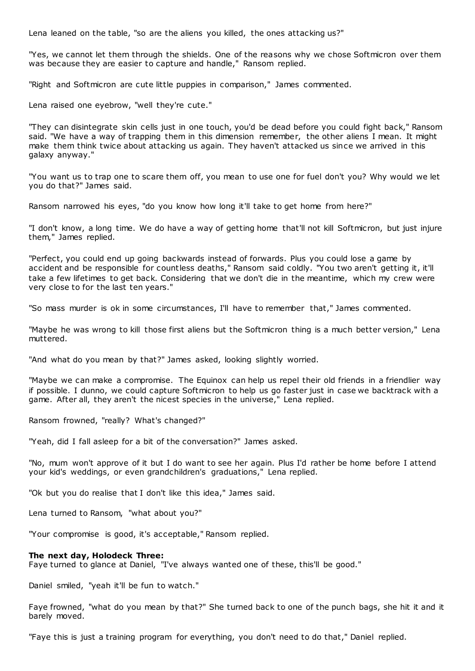Lena leaned on the table, "so are the aliens you killed, the ones attacking us?"

"Yes, we cannot let them through the shields. One of the reasons why we chose Softmicron over them was because they are easier to capture and handle," Ransom replied.

"Right and Softmicron are cute little puppies in comparison," James commented.

Lena raised one eyebrow, "well they're cute."

"They can disintegrate skin cells just in one touch, you'd be dead before you could fight back," Ransom said. "We have a way of trapping them in this dimension remember, the other aliens I mean. It might make them think twice about attacking us again. They haven't attacked us since we arrived in this galaxy anyway."

"You want us to trap one to scare them off, you mean to use one for fuel don't you? Why would we let you do that?" James said.

Ransom narrowed his eyes, "do you know how long it'll take to get home from here?"

"I don't know, a long time. We do have a way of getting home that'll not kill Softmicron, but just injure them," James replied.

"Perfect, you could end up going backwards instead of forwards. Plus you could lose a game by accident and be responsible for countless deaths," Ransom said coldly. "You two aren't getting it, it'll take a few lifetimes to get back. Considering that we don't die in the meantime, which my crew were very close to for the last ten years."

"So mass murder is ok in some circumstances, I'll have to remember that," James commented.

"Maybe he was wrong to kill those first aliens but the Softmicron thing is a much better version," Lena muttered.

"And what do you mean by that?" James asked, looking slightly worried.

"Maybe we can make a compromise. The Equinox can help us repel their old friends in a friendlier way if possible. I dunno, we could capture Softmicron to help us go faster just in case we backtrack with a game. After all, they aren't the nicest species in the universe," Lena replied.

Ransom frowned, "really? What's changed?"

"Yeah, did I fall asleep for a bit of the conversation?" James asked.

"No, mum won't approve of it but I do want to see her again. Plus I'd rather be home before I attend your kid's weddings, or even grandchildren's graduations," Lena replied.

"Ok but you do realise that I don't like this idea," James said.

Lena turned to Ransom, "what about you?"

"Your compromise is good, it's acceptable," Ransom replied.

#### **The next day, Holodeck Three:**

Faye turned to glance at Daniel, "I've always wanted one of these, this'll be good."

Daniel smiled, "yeah it'll be fun to watch."

Faye frowned, "what do you mean by that?" She turned back to one of the punch bags, she hit it and it barely moved.

"Faye this is just a training program for everything, you don't need to do that," Daniel replied.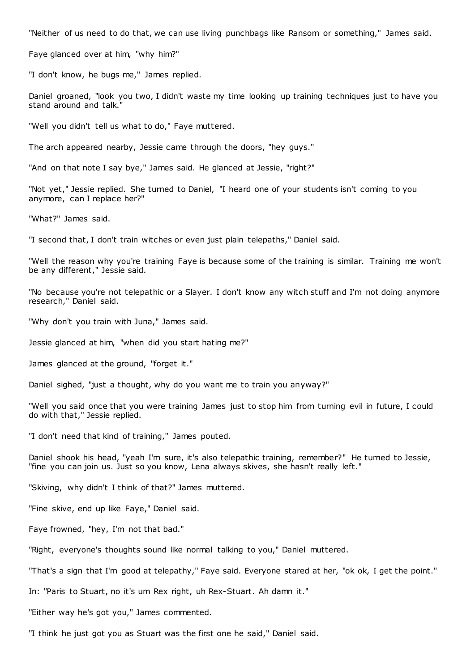"Neither of us need to do that, we can use living punchbags like Ransom or something," James said.

Faye glanced over at him, "why him?"

"I don't know, he bugs me," James replied.

Daniel groaned, "look you two, I didn't waste my time looking up training techniques just to have you stand around and talk."

"Well you didn't tell us what to do," Faye muttered.

The arch appeared nearby, Jessie came through the doors, "hey guys."

"And on that note I say bye," James said. He glanced at Jessie, "right?"

"Not yet," Jessie replied. She turned to Daniel, "I heard one of your students isn't coming to you anymore, can I replace her?"

"What?" James said.

"I second that, I don't train witches or even just plain telepaths," Daniel said.

"Well the reason why you're training Faye is because some of the training is similar. Training me won't be any different," Jessie said.

"No because you're not telepathic or a Slayer. I don't know any witch stuff and I'm not doing anymore research," Daniel said.

"Why don't you train with Juna," James said.

Jessie glanced at him, "when did you start hating me?"

James glanced at the ground, "forget it."

Daniel sighed, "just a thought, why do you want me to train you anyway?"

"Well you said once that you were training James just to stop him from turning evil in future, I could do with that," Jessie replied.

"I don't need that kind of training," James pouted.

Daniel shook his head, "yeah I'm sure, it's also telepathic training, remember?" He turned to Jessie, "fine you can join us. Just so you know, Lena always skives, she hasn't really left."

"Skiving, why didn't I think of that?" James muttered.

"Fine skive, end up like Faye," Daniel said.

Faye frowned, "hey, I'm not that bad."

"Right, everyone's thoughts sound like normal talking to you," Daniel muttered.

"That's a sign that I'm good at telepathy," Faye said. Everyone stared at her, "ok ok, I get the point."

In: "Paris to Stuart, no it's um Rex right, uh Rex-Stuart. Ah damn it."

"Either way he's got you," James commented.

"I think he just got you as Stuart was the first one he said," Daniel said.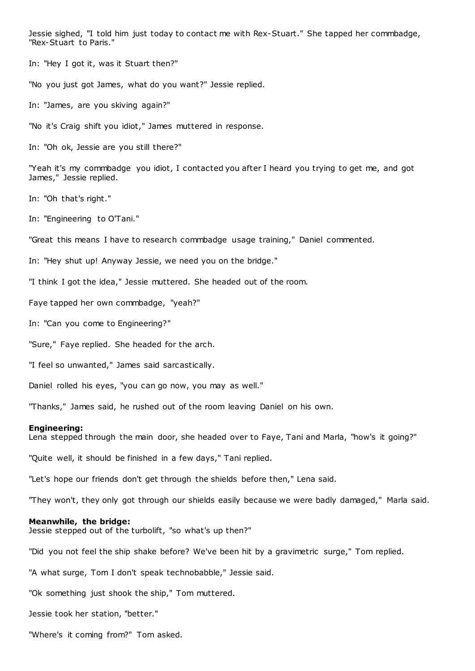Jessie sighed, "I told him just today to contact me with Rex-Stuart." She tapped her commbadge, "Rex-Stuart to Paris."

In: "Hey I got it, was it Stuart then?"

"No you just got James, what do you want?" Jessie replied.

In: "James, are you skiving again?"

"No it's Craig shift you idiot," James muttered in response.

In: "Oh ok, Jessie are you still there?"

"Yeah it's my commbadge you idiot, I contacted you after I heard you trying to get me, and got James," Jessie replied.

In: "Oh that's right."

In: "Engineering to O'Tani."

"Great this means I have to research commbadge usage training," Daniel commented.

In: "Hey shut up! Anyway Jessie, we need you on the bridge."

"I think I got the idea," Jessie muttered. She headed out of the room.

Faye tapped her own commbadge, "yeah?"

In: "Can you come to Engineering?"

"Sure," Faye replied. She headed for the arch.

"I feel so unwanted," James said sarcastically.

Daniel rolled his eyes, "you can go now, you may as well."

"Thanks," James said, he rushed out of the room leaving Daniel on his own.

#### **Engineering:**

Lena stepped through the main door, she headed over to Faye, Tani and Marla, "how's it going?"

"Quite well, it should be finished in a few days," Tani replied.

"Let's hope our friends don't get through the shields before then," Lena said.

"They won't, they only got through our shields easily because we were badly damaged," Marla said.

#### **Meanwhile, the bridge:**

Jessie stepped out of the turbolift, "so what's up then?"

"Did you not feel the ship shake before? We've been hit by a gravimetric surge," Tom replied.

"A what surge, Tom I don't speak technobabble," Jessie said.

"Ok something just shook the ship," Tom muttered.

Jessie took her station, "better."

"Where's it coming from?" Tom asked.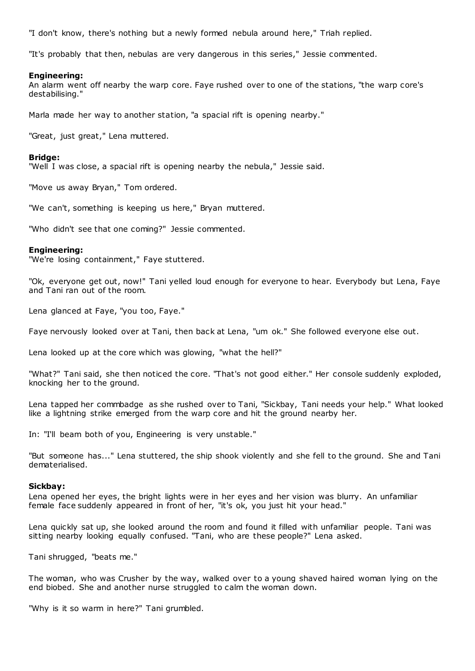"I don't know, there's nothing but a newly formed nebula around here," Triah replied.

"It's probably that then, nebulas are very dangerous in this series," Jessie commented.

## **Engineering:**

An alarm went off nearby the warp core. Faye rushed over to one of the stations, "the warp core's destabilising."

Marla made her way to another station, "a spacial rift is opening nearby."

"Great, just great," Lena muttered.

### **Bridge:**

"Well I was close, a spacial rift is opening nearby the nebula," Jessie said.

"Move us away Bryan," Tom ordered.

"We can't, something is keeping us here," Bryan muttered.

"Who didn't see that one coming?" Jessie commented.

### **Engineering:**

"We're losing containment," Faye stuttered.

"Ok, everyone get out, now!" Tani yelled loud enough for everyone to hear. Everybody but Lena, Faye and Tani ran out of the room.

Lena glanced at Faye, "you too, Faye."

Faye nervously looked over at Tani, then back at Lena, "um ok." She followed everyone else out.

Lena looked up at the core which was glowing, "what the hell?"

"What?" Tani said, she then noticed the core. "That's not good either." Her console suddenly exploded, knocking her to the ground.

Lena tapped her commbadge as she rushed over to Tani, "Sickbay, Tani needs your help." What looked like a lightning strike emerged from the warp core and hit the ground nearby her.

In: "I'll beam both of you, Engineering is very unstable."

"But someone has..." Lena stuttered, the ship shook violently and she fell to the ground. She and Tani dematerialised.

#### **Sickbay:**

Lena opened her eyes, the bright lights were in her eyes and her vision was blurry. An unfamiliar female face suddenly appeared in front of her, "it's ok, you just hit your head."

Lena quickly sat up, she looked around the room and found it filled with unfamiliar people. Tani was sitting nearby looking equally confused. "Tani, who are these people?" Lena asked.

Tani shrugged, "beats me."

The woman, who was Crusher by the way, walked over to a young shaved haired woman lying on the end biobed. She and another nurse struggled to calm the woman down.

"Why is it so warm in here?" Tani grumbled.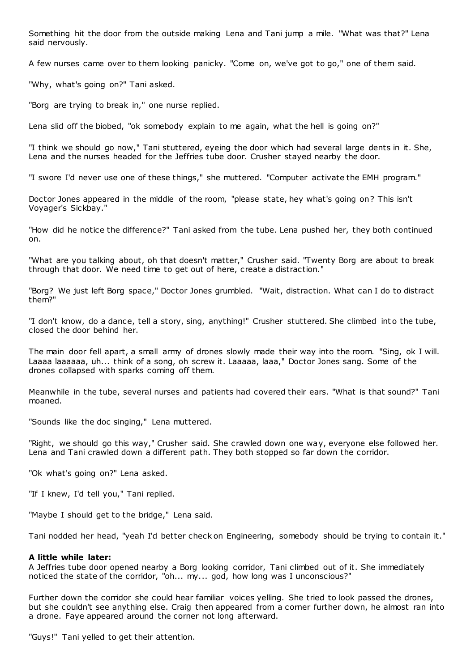Something hit the door from the outside making Lena and Tani jump a mile. "What was that?" Lena said nervously.

A few nurses came over to them looking panicky. "Come on, we've got to go," one of them said.

"Why, what's going on?" Tani asked.

"Borg are trying to break in," one nurse replied.

Lena slid off the biobed, "ok somebody explain to me again, what the hell is going on?"

"I think we should go now," Tani stuttered, eyeing the door which had several large dents in it. She, Lena and the nurses headed for the Jeffries tube door. Crusher stayed nearby the door.

"I swore I'd never use one of these things," she muttered. "Computer activate the EMH program."

Doctor Jones appeared in the middle of the room, "please state, hey what's going on? This isn't Voyager's Sickbay."

"How did he notice the difference?" Tani asked from the tube. Lena pushed her, they both continued on.

"What are you talking about, oh that doesn't matter," Crusher said. "Twenty Borg are about to break through that door. We need time to get out of here, create a distraction."

"Borg? We just left Borg space," Doctor Jones grumbled. "Wait, distraction. What can I do to distract them?"

"I don't know, do a dance, tell a story, sing, anything!" Crusher stuttered. She climbed int o the tube, closed the door behind her.

The main door fell apart, a small army of drones slowly made their way into the room. "Sing, ok I will. Laaaa laaaaaa, uh... think of a song, oh screw it. Laaaaa, laaa," Doctor Jones sang. Some of the drones collapsed with sparks coming off them.

Meanwhile in the tube, several nurses and patients had covered their ears. "What is that sound?" Tani moaned.

"Sounds like the doc singing," Lena muttered.

"Right, we should go this way," Crusher said. She crawled down one way, everyone else followed her. Lena and Tani crawled down a different path. They both stopped so far down the corridor.

"Ok what's going on?" Lena asked.

"If I knew, I'd tell you," Tani replied.

"Maybe I should get to the bridge," Lena said.

Tani nodded her head, "yeah I'd better check on Engineering, somebody should be trying to contain it."

#### **A little while later:**

A Jeffries tube door opened nearby a Borg looking corridor, Tani climbed out of it. She immediately noticed the state of the corridor, "oh... my... god, how long was I unconscious?"

Further down the corridor she could hear familiar voices yelling. She tried to look passed the drones, but she couldn't see anything else. Craig then appeared from a corner further down, he almost ran into a drone. Faye appeared around the corner not long afterward.

"Guys!" Tani yelled to get their attention.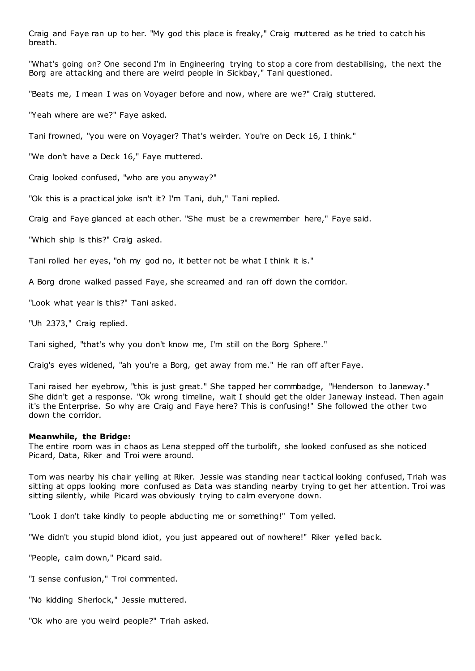Craig and Faye ran up to her. "My god this place is freaky," Craig muttered as he tried to catch his breath.

"What's going on? One second I'm in Engineering trying to stop a core from destabilising, the next the Borg are attacking and there are weird people in Sickbay," Tani questioned.

"Beats me, I mean I was on Voyager before and now, where are we?" Craig stuttered.

"Yeah where are we?" Faye asked.

Tani frowned, "you were on Voyager? That's weirder. You're on Deck 16, I think."

"We don't have a Deck 16," Faye muttered.

Craig looked confused, "who are you anyway?"

"Ok this is a practical joke isn't it? I'm Tani, duh," Tani replied.

Craig and Faye glanced at each other. "She must be a crewmember here," Faye said.

"Which ship is this?" Craig asked.

Tani rolled her eyes, "oh my god no, it better not be what I think it is."

A Borg drone walked passed Faye, she screamed and ran off down the corridor.

"Look what year is this?" Tani asked.

"Uh 2373," Craig replied.

Tani sighed, "that's why you don't know me, I'm still on the Borg Sphere."

Craig's eyes widened, "ah you're a Borg, get away from me." He ran off after Faye.

Tani raised her eyebrow, "this is just great." She tapped her commbadge, "Henderson to Janeway." She didn't get a response. "Ok wrong timeline, wait I should get the older Janeway instead. Then again it's the Enterprise. So why are Craig and Faye here? This is confusing!" She followed the other two down the corridor.

#### **Meanwhile, the Bridge:**

The entire room was in chaos as Lena stepped off the turbolift, she looked confused as she noticed Picard, Data, Riker and Troi were around.

Tom was nearby his chair yelling at Riker. Jessie was standing near t actical looking confused, Triah was sitting at opps looking more confused as Data was standing nearby trying to get her attention. Troi was sitting silently, while Picard was obviously trying to calm everyone down.

"Look I don't take kindly to people abduc ting me or something!" Tom yelled.

"We didn't you stupid blond idiot, you just appeared out of nowhere!" Riker yelled back.

"People, calm down," Picard said.

"I sense confusion," Troi commented.

"No kidding Sherlock," Jessie muttered.

"Ok who are you weird people?" Triah asked.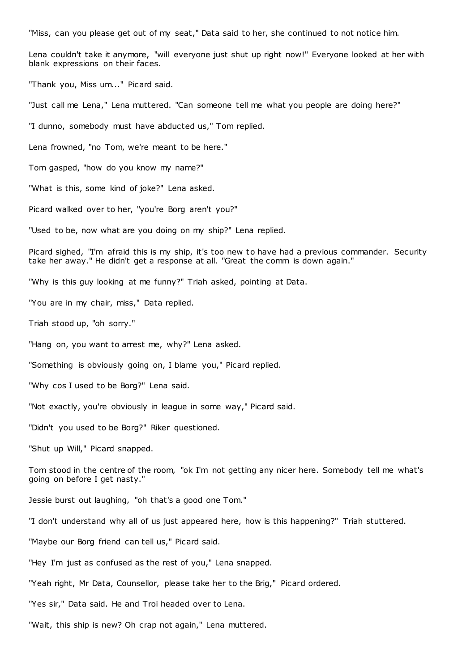"Miss, can you please get out of my seat," Data said to her, she continued to not notice him.

Lena couldn't take it anymore, "will everyone just shut up right now!" Everyone looked at her with blank expressions on their faces.

"Thank you, Miss um..." Picard said.

"Just call me Lena," Lena muttered. "Can someone tell me what you people are doing here?"

"I dunno, somebody must have abducted us," Tom replied.

Lena frowned, "no Tom, we're meant to be here."

Tom gasped, "how do you know my name?"

"What is this, some kind of joke?" Lena asked.

Picard walked over to her, "you're Borg aren't you?"

"Used to be, now what are you doing on my ship?" Lena replied.

Picard sighed, "I'm afraid this is my ship, it's too new to have had a previous commander. Security take her away." He didn't get a response at all. "Great the comm is down again."

"Why is this guy looking at me funny?" Triah asked, pointing at Data.

"You are in my chair, miss," Data replied.

Triah stood up, "oh sorry."

"Hang on, you want to arrest me, why?" Lena asked.

"Something is obviously going on, I blame you," Picard replied.

"Why cos I used to be Borg?" Lena said.

"Not exactly, you're obviously in league in some way," Picard said.

"Didn't you used to be Borg?" Riker questioned.

"Shut up Will," Picard snapped.

Tom stood in the centre of the room, "ok I'm not getting any nicer here. Somebody tell me what's going on before I get nasty."

Jessie burst out laughing, "oh that's a good one Tom."

"I don't understand why all of us just appeared here, how is this happening?" Triah stuttered.

"Maybe our Borg friend can tell us," Picard said.

"Hey I'm just as confused as the rest of you," Lena snapped.

"Yeah right, Mr Data, Counsellor, please take her to the Brig," Picard ordered.

"Yes sir," Data said. He and Troi headed over to Lena.

"Wait, this ship is new? Oh crap not again," Lena muttered.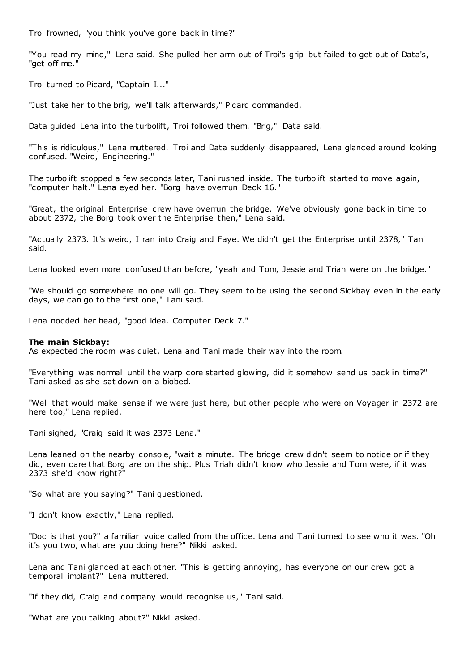Troi frowned, "you think you've gone back in time?"

"You read my mind," Lena said. She pulled her arm out of Troi's grip but failed to get out of Data's, "get off me."

Troi turned to Picard, "Captain I..."

"Just take her to the brig, we'll talk afterwards," Picard commanded.

Data guided Lena into the turbolift, Troi followed them. "Brig," Data said.

"This is ridiculous," Lena muttered. Troi and Data suddenly disappeared, Lena glanced around looking confused. "Weird, Engineering."

The turbolift stopped a few seconds later, Tani rushed inside. The turbolift started to move again, "computer halt." Lena eyed her. "Borg have overrun Deck 16."

"Great, the original Enterprise crew have overrun the bridge. We've obviously gone back in time to about 2372, the Borg took over the Enterprise then," Lena said.

"Actually 2373. It's weird, I ran into Craig and Faye. We didn't get the Enterprise until 2378," Tani said.

Lena looked even more confused than before, "yeah and Tom, Jessie and Triah were on the bridge."

"We should go somewhere no one will go. They seem to be using the second Sickbay even in the early days, we can go to the first one," Tani said.

Lena nodded her head, "good idea. Computer Deck 7."

## **The main Sickbay:**

As expected the room was quiet, Lena and Tani made their way into the room.

"Everything was normal until the warp core started glowing, did it somehow send us back in time?" Tani asked as she sat down on a biobed.

"Well that would make sense if we were just here, but other people who were on Voyager in 2372 are here too," Lena replied.

Tani sighed, "Craig said it was 2373 Lena."

Lena leaned on the nearby console, "wait a minute. The bridge crew didn't seem to notice or if they did, even care that Borg are on the ship. Plus Triah didn't know who Jessie and Tom were, if it was 2373 she'd know right?"

"So what are you saying?" Tani questioned.

"I don't know exactly," Lena replied.

"Doc is that you?" a familiar voice called from the office. Lena and Tani turned to see who it was. "Oh it's you two, what are you doing here?" Nikki asked.

Lena and Tani glanced at each other. "This is getting annoying, has everyone on our crew got a temporal implant?" Lena muttered.

"If they did, Craig and company would recognise us," Tani said.

"What are you talking about?" Nikki asked.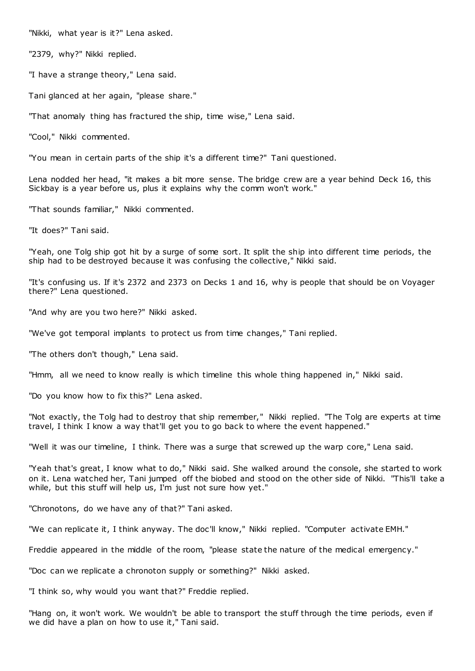"Nikki, what year is it?" Lena asked.

"2379, why?" Nikki replied.

"I have a strange theory," Lena said.

Tani glanced at her again, "please share."

"That anomaly thing has fractured the ship, time wise," Lena said.

"Cool," Nikki commented.

"You mean in certain parts of the ship it's a different time?" Tani questioned.

Lena nodded her head, "it makes a bit more sense. The bridge crew are a year behind Deck 16, this Sickbay is a year before us, plus it explains why the comm won't work."

"That sounds familiar," Nikki commented.

"It does?" Tani said.

"Yeah, one Tolg ship got hit by a surge of some sort. It split the ship into different time periods, the ship had to be destroyed because it was confusing the collective," Nikki said.

"It's confusing us. If it's 2372 and 2373 on Decks 1 and 16, why is people that should be on Voyager there?" Lena questioned.

"And why are you two here?" Nikki asked.

"We've got temporal implants to protect us from time changes," Tani replied.

"The others don't though," Lena said.

"Hmm, all we need to know really is which timeline this whole thing happened in," Nikki said.

"Do you know how to fix this?" Lena asked.

"Not exactly, the Tolg had to destroy that ship remember," Nikki replied. "The Tolg are experts at time travel, I think I know a way that'll get you to go back to where the event happened."

"Well it was our timeline, I think. There was a surge that screwed up the warp core," Lena said.

"Yeah that's great, I know what to do," Nikki said. She walked around the console, she started to work on it. Lena watched her, Tani jumped off the biobed and stood on the other side of Nikki. "This'll take a while, but this stuff will help us, I'm just not sure how yet."

"Chronotons, do we have any of that?" Tani asked.

"We can replicate it, I think anyway. The doc'll know," Nikki replied. "Computer activate EMH."

Freddie appeared in the middle of the room, "please state the nature of the medical emergency."

"Doc can we replicate a chronoton supply or something?" Nikki asked.

"I think so, why would you want that?" Freddie replied.

"Hang on, it won't work. We wouldn't be able to transport the stuff through the time periods, even if we did have a plan on how to use it," Tani said.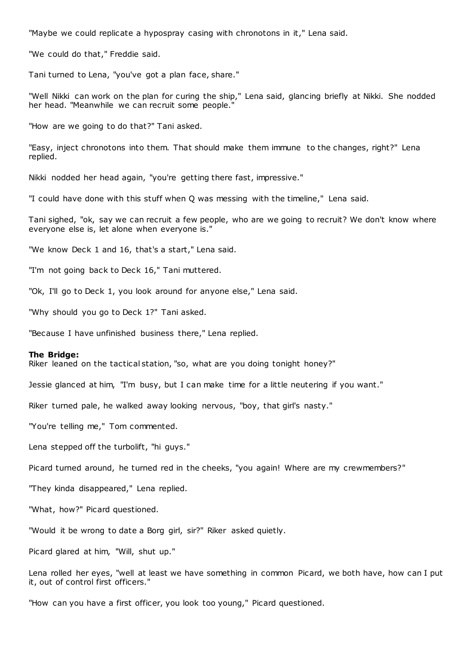"Maybe we could replicate a hypospray casing with chronotons in it," Lena said.

"We could do that," Freddie said.

Tani turned to Lena, "you've got a plan face, share."

"Well Nikki can work on the plan for curing the ship," Lena said, glancing briefly at Nikki. She nodded her head. "Meanwhile we can recruit some people.

"How are we going to do that?" Tani asked.

"Easy, inject chronotons into them. That should make them immune to the changes, right?" Lena replied.

Nikki nodded her head again, "you're getting there fast, impressive."

"I could have done with this stuff when Q was messing with the timeline," Lena said.

Tani sighed, "ok, say we can recruit a few people, who are we going to recruit? We don't know where everyone else is, let alone when everyone is."

"We know Deck 1 and 16, that's a start," Lena said.

"I'm not going back to Deck 16," Tani muttered.

"Ok, I'll go to Deck 1, you look around for anyone else," Lena said.

"Why should you go to Deck 1?" Tani asked.

"Because I have unfinished business there," Lena replied.

#### **The Bridge:**

Riker leaned on the tactical station, "so, what are you doing tonight honey?"

Jessie glanced at him, "I'm busy, but I can make time for a little neutering if you want."

Riker turned pale, he walked away looking nervous, "boy, that girl's nasty."

"You're telling me," Tom commented.

Lena stepped off the turbolift, "hi guys."

Picard turned around, he turned red in the cheeks, "you again! Where are my crewmembers?"

"They kinda disappeared," Lena replied.

"What, how?" Picard questioned.

"Would it be wrong to date a Borg girl, sir?" Riker asked quietly.

Picard glared at him, "Will, shut up."

Lena rolled her eyes, "well at least we have something in common Picard, we both have, how can I put it, out of control first officers."

"How can you have a first officer, you look too young," Picard questioned.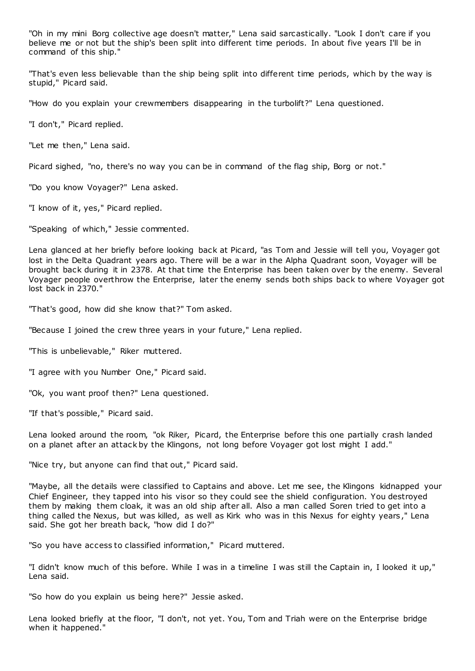"Oh in my mini Borg collective age doesn't matter," Lena said sarcastically. "Look I don't care if you believe me or not but the ship's been split into different time periods. In about five years I'll be in command of this ship."

"That's even less believable than the ship being split into different time periods, which by the way is stupid," Picard said.

"How do you explain your crewmembers disappearing in the turbolift?" Lena questioned.

"I don't," Picard replied.

"Let me then," Lena said.

Picard sighed, "no, there's no way you can be in command of the flag ship, Borg or not."

"Do you know Voyager?" Lena asked.

"I know of it, yes," Picard replied.

"Speaking of which," Jessie commented.

Lena glanced at her briefly before looking back at Picard, "as Tom and Jessie will tell you, Voyager got lost in the Delta Quadrant years ago. There will be a war in the Alpha Quadrant soon, Voyager will be brought back during it in 2378. At that time the Enterprise has been taken over by the enemy. Several Voyager people overthrow the Enterprise, later the enemy sends both ships back to where Voyager got lost back in 2370."

"That's good, how did she know that?" Tom asked.

"Because I joined the crew three years in your future," Lena replied.

"This is unbelievable," Riker muttered.

"I agree with you Number One," Picard said.

"Ok, you want proof then?" Lena questioned.

"If that's possible," Picard said.

Lena looked around the room, "ok Riker, Picard, the Enterprise before this one partially crash landed on a planet after an attack by the Klingons, not long before Voyager got lost might I add."

"Nice try, but anyone can find that out," Picard said.

"Maybe, all the details were classified to Captains and above. Let me see, the Klingons kidnapped your Chief Engineer, they tapped into his visor so they could see the shield configuration. You destroyed them by making them cloak, it was an old ship after all. Also a man called Soren tried to get into a thing called the Nexus, but was killed, as well as Kirk who was in this Nexus for eighty years ," Lena said. She got her breath back, "how did I do?"

"So you have access to classified information," Picard muttered.

"I didn't know much of this before. While I was in a timeline I was still the Captain in, I looked it up," Lena said.

"So how do you explain us being here?" Jessie asked.

Lena looked briefly at the floor, "I don't, not yet. You, Tom and Triah were on the Enterprise bridge when it happened."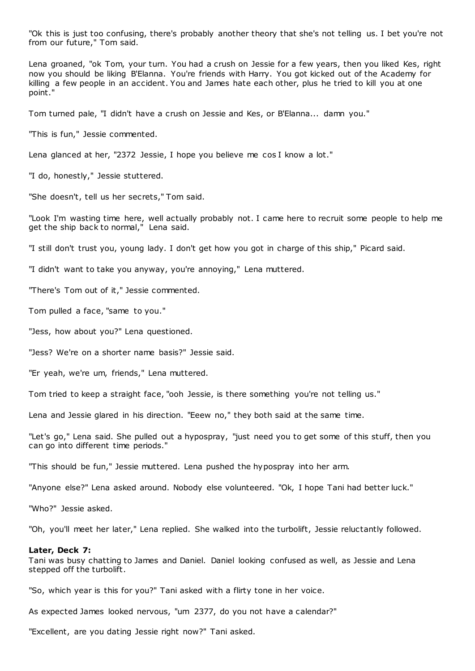"Ok this is just too confusing, there's probably another theory that she's not telling us. I bet you're not from our future," Tom said.

Lena groaned, "ok Tom, your turn. You had a crush on Jessie for a few years, then you liked Kes, right now you should be liking B'Elanna. You're friends with Harry. You got kicked out of the Academy for killing a few people in an accident. You and James hate each other, plus he tried to kill you at one point."

Tom turned pale, "I didn't have a crush on Jessie and Kes, or B'Elanna... damn you."

"This is fun," Jessie commented.

Lena glanced at her, "2372 Jessie, I hope you believe me cos I know a lot."

"I do, honestly," Jessie stuttered.

"She doesn't, tell us her secrets," Tom said.

"Look I'm wasting time here, well actually probably not. I came here to recruit some people to help me get the ship back to normal," Lena said.

"I still don't trust you, young lady. I don't get how you got in charge of this ship," Picard said.

"I didn't want to take you anyway, you're annoying," Lena muttered.

"There's Tom out of it," Jessie commented.

Tom pulled a face, "same to you."

"Jess, how about you?" Lena questioned.

"Jess? We're on a shorter name basis?" Jessie said.

"Er yeah, we're um, friends," Lena muttered.

Tom tried to keep a straight face, "ooh Jessie, is there something you're not telling us."

Lena and Jessie glared in his direction. "Eeew no," they both said at the same time.

"Let's go," Lena said. She pulled out a hypospray, "just need you to get some of this stuff, then you can go into different time periods."

"This should be fun," Jessie muttered. Lena pushed the hypospray into her arm.

"Anyone else?" Lena asked around. Nobody else volunteered. "Ok, I hope Tani had better luck."

"Who?" Jessie asked.

"Oh, you'll meet her later," Lena replied. She walked into the turbolift, Jessie reluctantly followed.

#### **Later, Deck 7:**

Tani was busy chatting to James and Daniel. Daniel looking confused as well, as Jessie and Lena stepped off the turbolift.

"So, which year is this for you?" Tani asked with a flirty tone in her voice.

As expected James looked nervous, "um 2377, do you not have a calendar?"

"Excellent, are you dating Jessie right now?" Tani asked.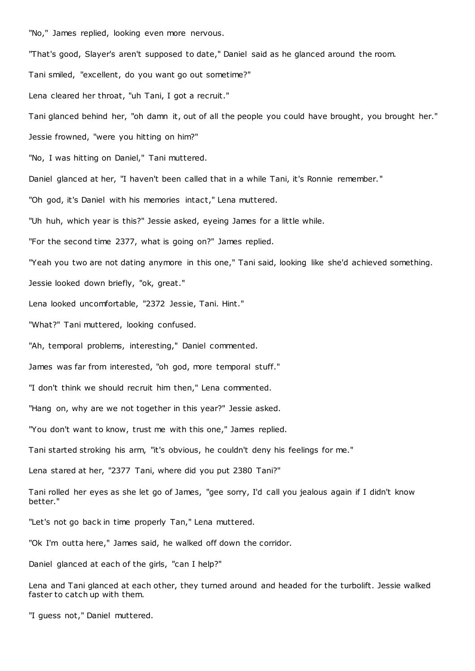"No," James replied, looking even more nervous.

"That's good, Slayer's aren't supposed to date," Daniel said as he glanced around the room.

Tani smiled, "excellent, do you want go out sometime?"

Lena cleared her throat, "uh Tani, I got a recruit."

Tani glanced behind her, "oh damn it, out of all the people you could have brought, you brought her."

Jessie frowned, "were you hitting on him?"

"No, I was hitting on Daniel," Tani muttered.

Daniel glanced at her, "I haven't been called that in a while Tani, it's Ronnie remember."

"Oh god, it's Daniel with his memories intact," Lena muttered.

"Uh huh, which year is this?" Jessie asked, eyeing James for a little while.

"For the second time 2377, what is going on?" James replied.

"Yeah you two are not dating anymore in this one," Tani said, looking like she'd achieved something.

Jessie looked down briefly, "ok, great."

Lena looked uncomfortable, "2372 Jessie, Tani. Hint."

"What?" Tani muttered, looking confused.

"Ah, temporal problems, interesting," Daniel commented.

James was far from interested, "oh god, more temporal stuff."

"I don't think we should recruit him then," Lena commented.

"Hang on, why are we not together in this year?" Jessie asked.

"You don't want to know, trust me with this one," James replied.

Tani started stroking his arm, "it's obvious, he couldn't deny his feelings for me."

Lena stared at her, "2377 Tani, where did you put 2380 Tani?"

Tani rolled her eyes as she let go of James, "gee sorry, I'd call you jealous again if I didn't know better."

"Let's not go back in time properly Tan," Lena muttered.

"Ok I'm outta here," James said, he walked off down the corridor.

Daniel glanced at each of the girls, "can I help?"

Lena and Tani glanced at each other, they turned around and headed for the turbolift. Jessie walked faster to catch up with them.

"I guess not," Daniel muttered.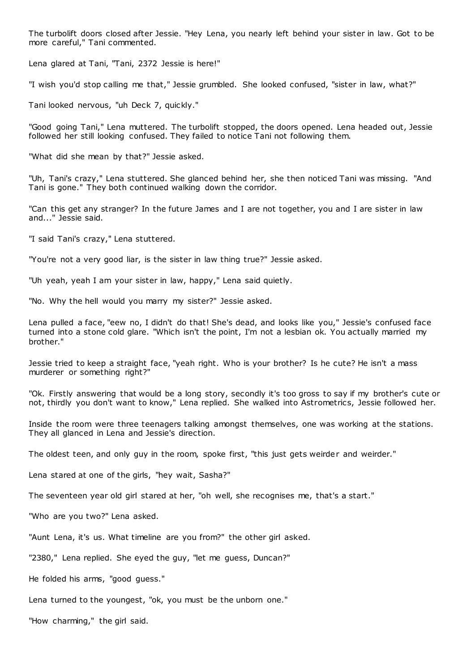The turbolift doors closed after Jessie. "Hey Lena, you nearly left behind your sister in law. Got to be more careful," Tani commented.

Lena glared at Tani, "Tani, 2372 Jessie is here!"

"I wish you'd stop calling me that," Jessie grumbled. She looked confused, "sister in law, what?"

Tani looked nervous, "uh Deck 7, quickly."

"Good going Tani," Lena muttered. The turbolift stopped, the doors opened. Lena headed out, Jessie followed her still looking confused. They failed to notice Tani not following them.

"What did she mean by that?" Jessie asked.

"Uh, Tani's crazy," Lena stuttered. She glanced behind her, she then noticed Tani was missing. "And Tani is gone." They both continued walking down the corridor.

"Can this get any stranger? In the future James and I are not together, you and I are sister in law and..." Jessie said.

"I said Tani's crazy," Lena stuttered.

"You're not a very good liar, is the sister in law thing true?" Jessie asked.

"Uh yeah, yeah I am your sister in law, happy," Lena said quietly.

"No. Why the hell would you marry my sister?" Jessie asked.

Lena pulled a face, "eew no, I didn't do that! She's dead, and looks like you," Jessie's confused face turned into a stone cold glare. "Which isn't the point, I'm not a lesbian ok. You actually married my brother."

Jessie tried to keep a straight face, "yeah right. Who is your brother? Is he cute? He isn't a mass murderer or something right?"

"Ok. Firstly answering that would be a long story, secondly it's too gross to say if my brother's cute or not, thirdly you don't want to know," Lena replied. She walked into Astrometrics, Jessie followed her.

Inside the room were three teenagers talking amongst themselves, one was working at the stations. They all glanced in Lena and Jessie's direction.

The oldest teen, and only guy in the room, spoke first, "this just gets weirder and weirder."

Lena stared at one of the girls, "hey wait, Sasha?"

The seventeen year old girl stared at her, "oh well, she recognises me, that's a start."

"Who are you two?" Lena asked.

"Aunt Lena, it's us. What timeline are you from?" the other girl asked.

"2380," Lena replied. She eyed the guy, "let me guess, Duncan?"

He folded his arms, "good guess."

Lena turned to the youngest, "ok, you must be the unborn one."

"How charming," the girl said.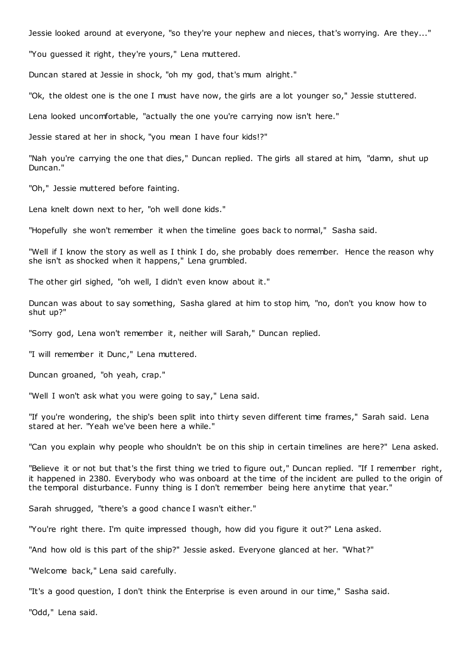Jessie looked around at everyone, "so they're your nephew and nieces, that's worrying. Are they..."

"You guessed it right, they're yours," Lena muttered.

Duncan stared at Jessie in shock, "oh my god, that's mum alright."

"Ok, the oldest one is the one I must have now, the girls are a lot younger so," Jessie stuttered.

Lena looked uncomfortable, "actually the one you're carrying now isn't here."

Jessie stared at her in shock, "you mean I have four kids!?"

"Nah you're carrying the one that dies," Duncan replied. The girls all stared at him, "damn, shut up Duncan."

"Oh," Jessie muttered before fainting.

Lena knelt down next to her, "oh well done kids."

"Hopefully she won't remember it when the timeline goes back to normal," Sasha said.

"Well if I know the story as well as I think I do, she probably does remember. Hence the reason why she isn't as shocked when it happens," Lena grumbled.

The other girl sighed, "oh well, I didn't even know about it."

Duncan was about to say something, Sasha glared at him to stop him, "no, don't you know how to shut up?"

"Sorry god, Lena won't remember it, neither will Sarah," Duncan replied.

"I will remember it Dunc," Lena muttered.

Duncan groaned, "oh yeah, crap."

"Well I won't ask what you were going to say," Lena said.

"If you're wondering, the ship's been split into thirty seven different time frames," Sarah said. Lena stared at her. "Yeah we've been here a while."

"Can you explain why people who shouldn't be on this ship in certain timelines are here?" Lena asked.

"Believe it or not but that's the first thing we tried to figure out," Duncan replied. "If I remember right, it happened in 2380. Everybody who was onboard at the time of the incident are pulled to the origin of the temporal disturbance. Funny thing is I don't remember being here anytime that year."

Sarah shrugged, "there's a good chance I wasn't either."

"You're right there. I'm quite impressed though, how did you figure it out?" Lena asked.

"And how old is this part of the ship?" Jessie asked. Everyone glanced at her. "What?"

"Welcome back," Lena said carefully.

"It's a good question, I don't think the Enterprise is even around in our time," Sasha said.

"Odd," Lena said.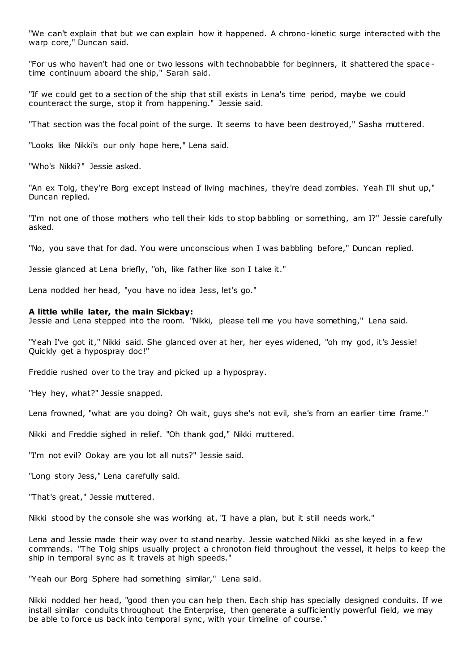"We can't explain that but we can explain how it happened. A chrono-kinetic surge interacted with the warp core," Duncan said.

"For us who haven't had one or two lessons with technobabble for beginners, it shattered the space time continuum aboard the ship," Sarah said.

"If we could get to a section of the ship that still exists in Lena's time period, maybe we could counteract the surge, stop it from happening." Jessie said.

"That section was the focal point of the surge. It seems to have been destroyed," Sasha muttered.

"Looks like Nikki's our only hope here," Lena said.

"Who's Nikki?" Jessie asked.

"An ex Tolg, they're Borg except instead of living machines, they're dead zombies. Yeah I'll shut up," Duncan replied.

"I'm not one of those mothers who tell their kids to stop babbling or something, am I?" Jessie carefully asked.

"No, you save that for dad. You were unconscious when I was babbling before," Duncan replied.

Jessie glanced at Lena briefly, "oh, like father like son I take it."

Lena nodded her head, "you have no idea Jess, let's go."

#### **A little while later, the main Sickbay:**

Jessie and Lena stepped into the room. "Nikki, please tell me you have something," Lena said.

"Yeah I've got it," Nikki said. She glanced over at her, her eyes widened, "oh my god, it's Jessie! Quickly get a hypospray doc!"

Freddie rushed over to the tray and picked up a hypospray.

"Hey hey, what?" Jessie snapped.

Lena frowned, "what are you doing? Oh wait, guys she's not evil, she's from an earlier time frame."

Nikki and Freddie sighed in relief. "Oh thank god," Nikki muttered.

"I'm not evil? Ookay are you lot all nuts?" Jessie said.

"Long story Jess," Lena carefully said.

"That's great," Jessie muttered.

Nikki stood by the console she was working at, "I have a plan, but it still needs work."

Lena and Jessie made their way over to stand nearby. Jessie watched Nikki as she keyed in a fe w commands. "The Tolg ships usually project a chronoton field throughout the vessel, it helps to keep the ship in temporal sync as it travels at high speeds."

"Yeah our Borg Sphere had something similar," Lena said.

Nikki nodded her head, "good then you can help then. Each ship has specially designed conduits. If we install similar conduits throughout the Enterprise, then generate a sufficiently powerful field, we may be able to force us back into temporal sync , with your timeline of course."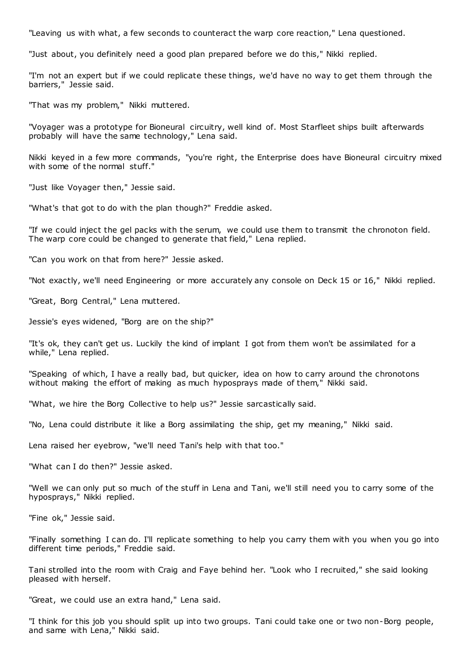"Leaving us with what, a few seconds to counteract the warp core reaction," Lena questioned.

"Just about, you definitely need a good plan prepared before we do this," Nikki replied.

"I'm not an expert but if we could replicate these things, we'd have no way to get them through the barriers," Jessie said.

"That was my problem," Nikki muttered.

"Voyager was a prototype for Bioneural circuitry, well kind of. Most Starfleet ships built afterwards probably will have the same technology," Lena said.

Nikki keyed in a few more commands, "you're right, the Enterprise does have Bioneural circuitry mixed with some of the normal stuff."

"Just like Voyager then," Jessie said.

"What's that got to do with the plan though?" Freddie asked.

"If we could inject the gel packs with the serum, we could use them to transmit the chronoton field. The warp core could be changed to generate that field," Lena replied.

"Can you work on that from here?" Jessie asked.

"Not exactly, we'll need Engineering or more accurately any console on Deck 15 or 16," Nikki replied.

"Great, Borg Central," Lena muttered.

Jessie's eyes widened, "Borg are on the ship?"

"It's ok, they can't get us. Luckily the kind of implant I got from them won't be assimilated for a while," Lena replied.

"Speaking of which, I have a really bad, but quicker, idea on how to carry around the chronotons without making the effort of making as much hyposprays made of them," Nikki said.

"What, we hire the Borg Collective to help us?" Jessie sarcastically said.

"No, Lena could distribute it like a Borg assimilating the ship, get my meaning," Nikki said.

Lena raised her eyebrow, "we'll need Tani's help with that too."

"What can I do then?" Jessie asked.

"Well we can only put so much of the stuff in Lena and Tani, we'll still need you to carry some of the hyposprays," Nikki replied.

"Fine ok," Jessie said.

"Finally something I can do. I'll replicate something to help you carry them with you when you go into different time periods," Freddie said.

Tani strolled into the room with Craig and Faye behind her. "Look who I recruited," she said looking pleased with herself.

"Great, we could use an extra hand," Lena said.

"I think for this job you should split up into two groups. Tani could take one or two non-Borg people, and same with Lena," Nikki said.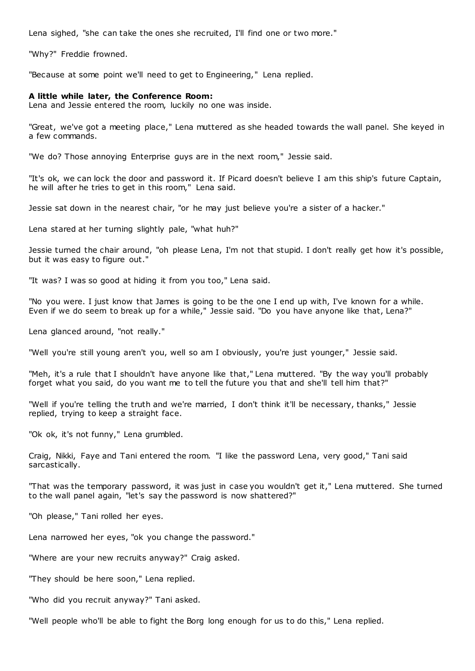Lena sighed, "she can take the ones she recruited, I'll find one or two more."

"Why?" Freddie frowned.

"Because at some point we'll need to get to Engineering," Lena replied.

## **A little while later, the Conference Room:**

Lena and Jessie entered the room, luckily no one was inside.

"Great, we've got a meeting place," Lena muttered as she headed towards the wall panel. She keyed in a few commands.

"We do? Those annoying Enterprise guys are in the next room," Jessie said.

"It's ok, we can lock the door and password it. If Picard doesn't believe I am this ship's future Captain, he will after he tries to get in this room," Lena said.

Jessie sat down in the nearest chair, "or he may just believe you're a sister of a hacker."

Lena stared at her turning slightly pale, "what huh?"

Jessie turned the chair around, "oh please Lena, I'm not that stupid. I don't really get how it's possible, but it was easy to figure out."

"It was? I was so good at hiding it from you too," Lena said.

"No you were. I just know that James is going to be the one I end up with, I've known for a while. Even if we do seem to break up for a while," Jessie said. "Do you have anyone like that, Lena?"

Lena glanced around, "not really."

"Well you're still young aren't you, well so am I obviously, you're just younger," Jessie said.

"Meh, it's a rule that I shouldn't have anyone like that," Lena muttered. "By the way you'll probably forget what you said, do you want me to tell the future you that and she'll tell him that?"

"Well if you're telling the truth and we're married, I don't think it'll be necessary, thanks," Jessie replied, trying to keep a straight face.

"Ok ok, it's not funny," Lena grumbled.

Craig, Nikki, Faye and Tani entered the room. "I like the password Lena, very good," Tani said sarcastically.

"That was the temporary password, it was just in case you wouldn't get it," Lena muttered. She turned to the wall panel again, "let's say the password is now shattered?"

"Oh please," Tani rolled her eyes.

Lena narrowed her eyes, "ok you change the password."

"Where are your new recruits anyway?" Craig asked.

"They should be here soon," Lena replied.

"Who did you recruit anyway?" Tani asked.

"Well people who'll be able to fight the Borg long enough for us to do this," Lena replied.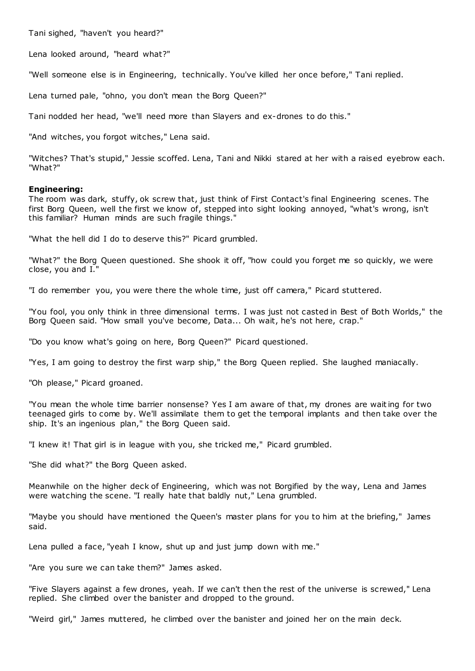Tani sighed, "haven't you heard?"

Lena looked around, "heard what?"

"Well someone else is in Engineering, technically. You've killed her once before," Tani replied.

Lena turned pale, "ohno, you don't mean the Borg Queen?"

Tani nodded her head, "we'll need more than Slayers and ex-drones to do this."

"And witches, you forgot witches," Lena said.

"Witches? That's stupid," Jessie scoffed. Lena, Tani and Nikki stared at her with a raised eyebrow each. "What?"

#### **Engineering:**

The room was dark, stuffy, ok screw that, just think of First Contact's final Engineering scenes. The first Borg Queen, well the first we know of, stepped into sight looking annoyed, "what's wrong, isn't this familiar? Human minds are such fragile things."

"What the hell did I do to deserve this?" Picard grumbled.

"What?" the Borg Queen questioned. She shook it off, "how could you forget me so quickly, we were close, you and I."

"I do remember you, you were there the whole time, just off camera," Picard stuttered.

"You fool, you only think in three dimensional terms. I was just not casted in Best of Both Worlds," the Borg Queen said. "How small you've become, Data... Oh wait, he's not here, crap."

"Do you know what's going on here, Borg Queen?" Picard questioned.

"Yes, I am going to destroy the first warp ship," the Borg Queen replied. She laughed maniacally.

"Oh please," Picard groaned.

"You mean the whole time barrier nonsense? Yes I am aware of that, my drones are waiting for two teenaged girls to come by. We'll assimilate them to get the temporal implants and then take over the ship. It's an ingenious plan," the Borg Queen said.

"I knew it! That girl is in league with you, she tricked me," Picard grumbled.

"She did what?" the Borg Queen asked.

Meanwhile on the higher deck of Engineering, which was not Borgified by the way, Lena and James were watching the scene. "I really hate that baldly nut," Lena grumbled.

"Maybe you should have mentioned the Queen's master plans for you to him at the briefing," James said.

Lena pulled a face, "yeah I know, shut up and just jump down with me."

"Are you sure we can take them?" James asked.

"Five Slayers against a few drones, yeah. If we can't then the rest of the universe is screwed," Lena replied. She climbed over the banister and dropped to the ground.

"Weird girl," James muttered, he climbed over the banister and joined her on the main deck.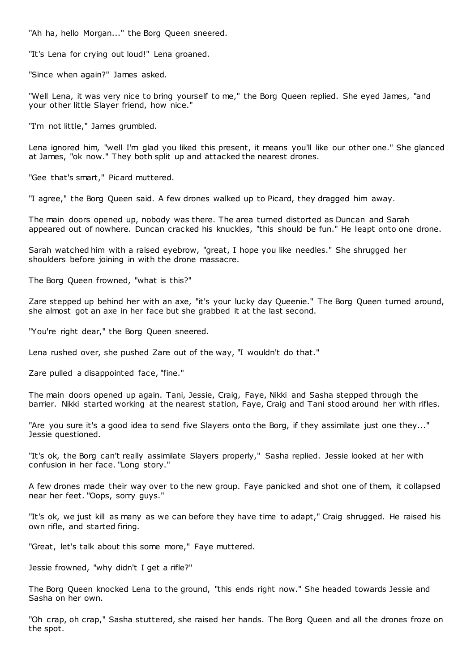"Ah ha, hello Morgan..." the Borg Queen sneered.

"It's Lena for crying out loud!" Lena groaned.

"Since when again?" James asked.

"Well Lena, it was very nice to bring yourself to me," the Borg Queen replied. She eyed James, "and your other little Slayer friend, how nice."

"I'm not little," James grumbled.

Lena ignored him, "well I'm glad you liked this present, it means you'll like our other one." She glanced at James, "ok now." They both split up and attacked the nearest drones.

"Gee that's smart," Picard muttered.

"I agree," the Borg Queen said. A few drones walked up to Picard, they dragged him away.

The main doors opened up, nobody was there. The area turned distorted as Duncan and Sarah appeared out of nowhere. Duncan cracked his knuckles, "this should be fun." He leapt onto one drone.

Sarah watched him with a raised eyebrow, "great, I hope you like needles." She shrugged her shoulders before joining in with the drone massacre.

The Borg Queen frowned, "what is this?"

Zare stepped up behind her with an axe, "it's your lucky day Queenie." The Borg Queen turned around, she almost got an axe in her face but she grabbed it at the last second.

"You're right dear," the Borg Queen sneered.

Lena rushed over, she pushed Zare out of the way, "I wouldn't do that."

Zare pulled a disappointed face, "fine."

The main doors opened up again. Tani, Jessie, Craig, Faye, Nikki and Sasha stepped through the barrier. Nikki started working at the nearest station, Faye, Craig and Tani stood around her with rifles.

"Are you sure it's a good idea to send five Slayers onto the Borg, if they assimilate just one they..." Jessie questioned.

"It's ok, the Borg can't really assimilate Slayers properly," Sasha replied. Jessie looked at her with confusion in her face. "Long story."

A few drones made their way over to the new group. Faye panicked and shot one of them, it collapsed near her feet. "Oops, sorry guys."

"It's ok, we just kill as many as we can before they have time to adapt," Craig shrugged. He raised his own rifle, and started firing.

"Great, let's talk about this some more," Faye muttered.

Jessie frowned, "why didn't I get a rifle?"

The Borg Queen knocked Lena to the ground, "this ends right now." She headed towards Jessie and Sasha on her own.

"Oh crap, oh crap," Sasha stuttered, she raised her hands. The Borg Queen and all the drones froze on the spot.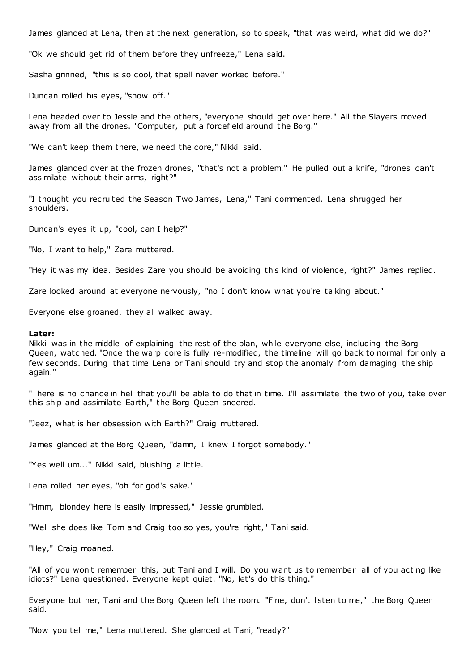James glanced at Lena, then at the next generation, so to speak, "that was weird, what did we do?"

"Ok we should get rid of them before they unfreeze," Lena said.

Sasha grinned, "this is so cool, that spell never worked before."

Duncan rolled his eyes, "show off."

Lena headed over to Jessie and the others, "everyone should get over here." All the Slayers moved away from all the drones. "Computer, put a forcefield around the Borg."

"We can't keep them there, we need the core," Nikki said.

James glanced over at the frozen drones, "that's not a problem." He pulled out a knife, "drones can't assimilate without their arms, right?"

"I thought you recruited the Season Two James, Lena," Tani commented. Lena shrugged her shoulders.

Duncan's eyes lit up, "cool, can I help?"

"No, I want to help," Zare muttered.

"Hey it was my idea. Besides Zare you should be avoiding this kind of violence, right?" James replied.

Zare looked around at everyone nervously, "no I don't know what you're talking about."

Everyone else groaned, they all walked away.

#### **Later:**

Nikki was in the middle of explaining the rest of the plan, while everyone else, including the Borg Queen, watched. "Once the warp core is fully re-modified, the timeline will go back to normal for only a few seconds. During that time Lena or Tani should try and stop the anomaly from damaging the ship again."

"There is no chance in hell that you'll be able to do that in time. I'll assimilate the two of you, take over this ship and assimilate Earth," the Borg Queen sneered.

"Jeez, what is her obsession with Earth?" Craig muttered.

James glanced at the Borg Queen, "damn, I knew I forgot somebody."

"Yes well um..." Nikki said, blushing a little.

Lena rolled her eyes, "oh for god's sake."

"Hmm, blondey here is easily impressed," Jessie grumbled.

"Well she does like Tom and Craig too so yes, you're right," Tani said.

"Hey," Craig moaned.

"All of you won't remember this, but Tani and I will. Do you want us to remember all of you acting like idiots?" Lena questioned. Everyone kept quiet. "No, let's do this thing."

Everyone but her, Tani and the Borg Queen left the room. "Fine, don't listen to me," the Borg Queen said.

"Now you tell me," Lena muttered. She glanced at Tani, "ready?"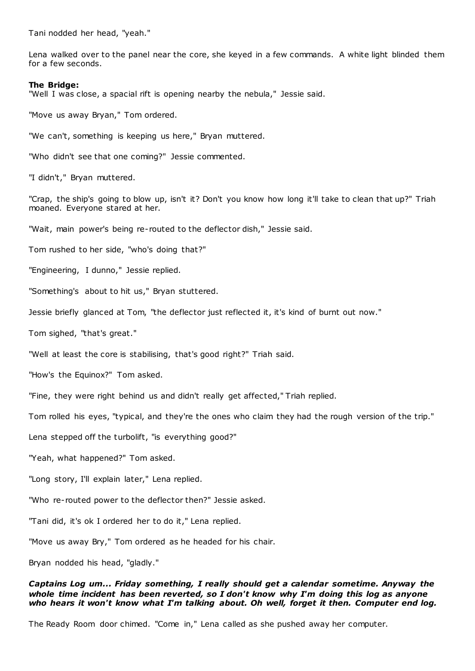Tani nodded her head, "yeah."

Lena walked over to the panel near the core, she keyed in a few commands. A white light blinded them for a few seconds.

## **The Bridge:**

"Well I was close, a spacial rift is opening nearby the nebula," Jessie said.

"Move us away Bryan," Tom ordered.

"We can't, something is keeping us here," Bryan muttered.

"Who didn't see that one coming?" Jessie commented.

"I didn't," Bryan muttered.

"Crap, the ship's going to blow up, isn't it? Don't you know how long it'll take to clean that up?" Triah moaned. Everyone stared at her.

"Wait, main power's being re-routed to the deflector dish," Jessie said.

Tom rushed to her side, "who's doing that?"

"Engineering, I dunno," Jessie replied.

"Something's about to hit us," Bryan stuttered.

Jessie briefly glanced at Tom, "the deflector just reflected it, it's kind of burnt out now."

Tom sighed, "that's great."

"Well at least the core is stabilising, that's good right?" Triah said.

"How's the Equinox?" Tom asked.

"Fine, they were right behind us and didn't really get affected," Triah replied.

Tom rolled his eyes, "typical, and they're the ones who claim they had the rough version of the trip."

Lena stepped off the turbolift, "is everything good?"

"Yeah, what happened?" Tom asked.

"Long story, I'll explain later," Lena replied.

"Who re-routed power to the deflector then?" Jessie asked.

"Tani did, it's ok I ordered her to do it," Lena replied.

"Move us away Bry," Tom ordered as he headed for his chair.

Bryan nodded his head, "gladly."

# *Captains Log um... Friday something, I really should get a calendar sometime. Anyway the whole time incident has been reverted, so I don't know why I'm doing this log as anyone who hears it won't know what I'm talking about. Oh well, forget it then. Computer end log.*

The Ready Room door chimed. "Come in," Lena called as she pushed away her computer.